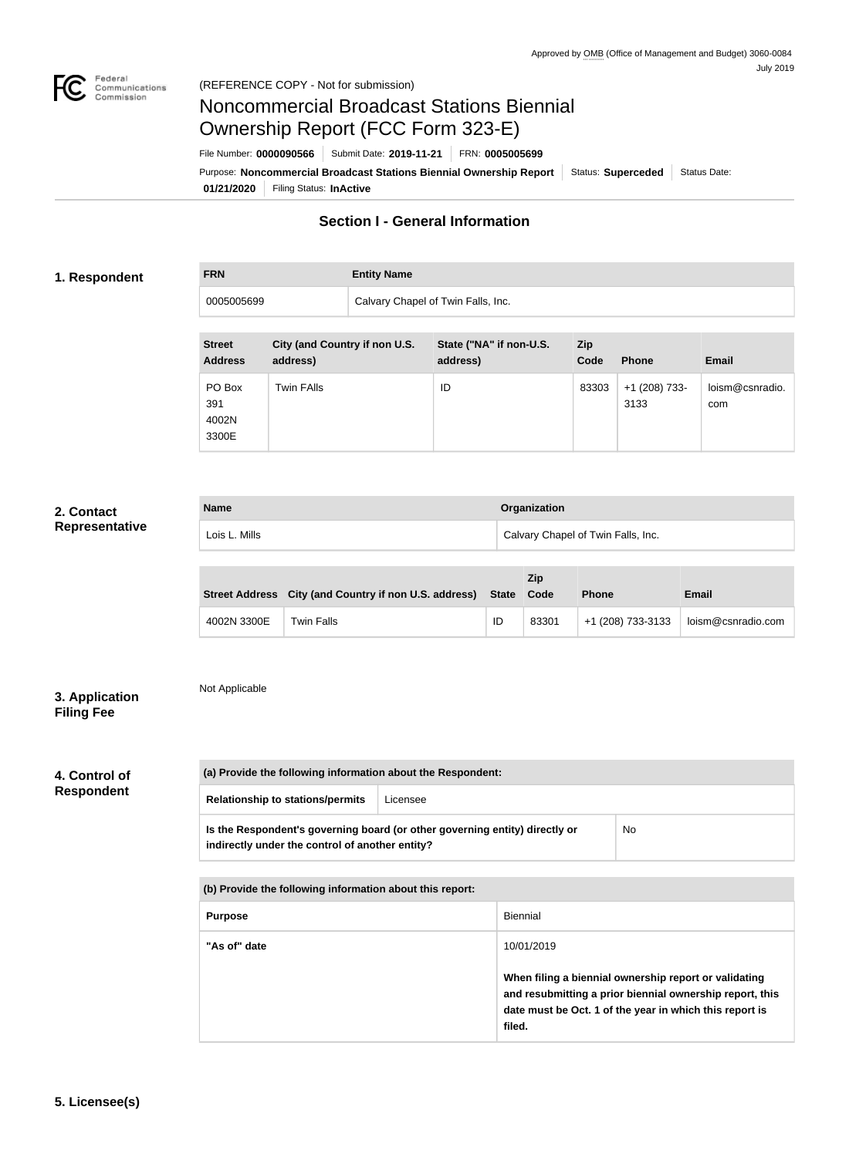

# Noncommercial Broadcast Stations Biennial Ownership Report (FCC Form 323-E)

**01/21/2020** Filing Status: **InActive** Purpose: Noncommercial Broadcast Stations Biennial Ownership Report | Status: Superceded | Status Date: File Number: **0000090566** Submit Date: **2019-11-21** FRN: **0005005699**

# **Section I - General Information**

#### **1. Respondent**

**FRN Entity Name**

0005005699 Calvary Chapel of Twin Falls, Inc.

| <b>Street</b><br><b>Address</b> | City (and Country if non U.S.<br>address) | State ("NA" if non-U.S.<br>address) | Zip<br>Code | <b>Phone</b>          | <b>Email</b>           |
|---------------------------------|-------------------------------------------|-------------------------------------|-------------|-----------------------|------------------------|
| PO Box<br>391<br>4002N<br>3300E | <b>Twin FAlls</b>                         | ID                                  | 83303       | +1 (208) 733-<br>3133 | loism@csnradio.<br>com |

#### **2. Contact Representative**

| <b>Name</b>   | Organization                                    |
|---------------|-------------------------------------------------|
| Lois L. Mills | <sup>1</sup> Calvary Chapel of Twin Falls, Inc. |

|             | Street Address City (and Country if non U.S. address) State Code |    | Zip   | <b>Phone</b>      | <b>Email</b>       |
|-------------|------------------------------------------------------------------|----|-------|-------------------|--------------------|
| 4002N 3300E | Twin Falls                                                       | ID | 83301 | +1 (208) 733-3133 | loism@csnradio.com |

### **3. Application Filing Fee**

# Not Applicable

### **4. Control of Respondent**

| (a) Provide the following information about the Respondent: |                                                                             |           |
|-------------------------------------------------------------|-----------------------------------------------------------------------------|-----------|
| <b>Relationship to stations/permits</b>                     | Licensee                                                                    |           |
| indirectly under the control of another entity?             | Is the Respondent's governing board (or other governing entity) directly or | <b>No</b> |

| (b) Provide the following information about this report: |                                                                                                                                                                                        |  |  |
|----------------------------------------------------------|----------------------------------------------------------------------------------------------------------------------------------------------------------------------------------------|--|--|
| <b>Purpose</b>                                           | Biennial                                                                                                                                                                               |  |  |
| "As of" date                                             | 10/01/2019                                                                                                                                                                             |  |  |
|                                                          | When filing a biennial ownership report or validating<br>and resubmitting a prior biennial ownership report, this<br>date must be Oct. 1 of the year in which this report is<br>filed. |  |  |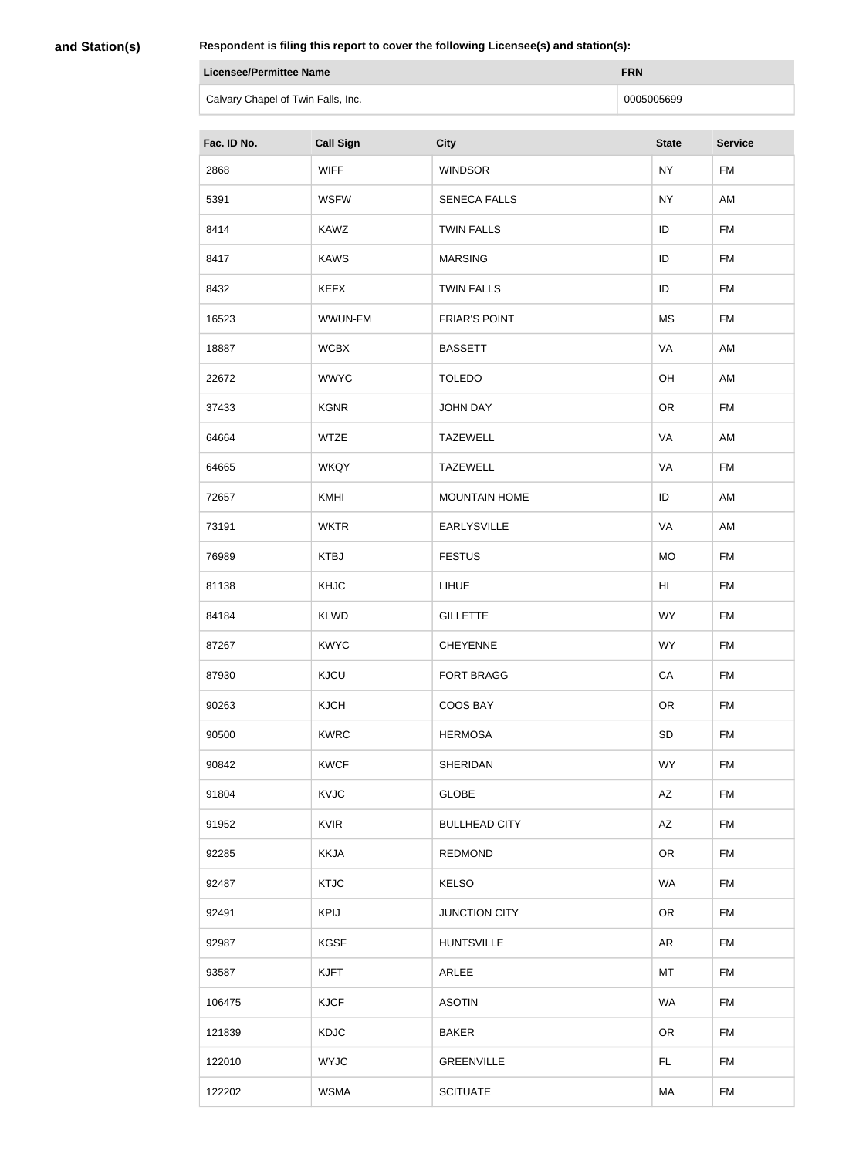**and Station(s)**

| Licensee/Permittee Name            | <b>FRN</b> |
|------------------------------------|------------|
| Calvary Chapel of Twin Falls, Inc. | 0005005699 |

| Fac. ID No. | <b>Call Sign</b> | <b>City</b>          | <b>State</b> | <b>Service</b> |
|-------------|------------------|----------------------|--------------|----------------|
| 2868        | <b>WIFF</b>      | <b>WINDSOR</b>       | <b>NY</b>    | <b>FM</b>      |
| 5391        | <b>WSFW</b>      | <b>SENECA FALLS</b>  | <b>NY</b>    | AM             |
| 8414        | <b>KAWZ</b>      | <b>TWIN FALLS</b>    | ID           | <b>FM</b>      |
| 8417        | <b>KAWS</b>      | <b>MARSING</b>       | ID           | <b>FM</b>      |
| 8432        | <b>KEFX</b>      | <b>TWIN FALLS</b>    | ID           | <b>FM</b>      |
| 16523       | WWUN-FM          | <b>FRIAR'S POINT</b> | MS           | <b>FM</b>      |
| 18887       | <b>WCBX</b>      | <b>BASSETT</b>       | VA           | AM             |
| 22672       | <b>WWYC</b>      | <b>TOLEDO</b>        | OH           | AM             |
| 37433       | <b>KGNR</b>      | <b>JOHN DAY</b>      | OR           | <b>FM</b>      |
| 64664       | <b>WTZE</b>      | <b>TAZEWELL</b>      | VA           | AM             |
| 64665       | <b>WKQY</b>      | <b>TAZEWELL</b>      | VA           | <b>FM</b>      |
| 72657       | <b>KMHI</b>      | <b>MOUNTAIN HOME</b> | ID           | AM             |
| 73191       | <b>WKTR</b>      | <b>EARLYSVILLE</b>   | VA           | AM             |
| 76989       | <b>KTBJ</b>      | <b>FESTUS</b>        | <b>MO</b>    | FM             |
| 81138       | KHJC             | LIHUE                | HI           | <b>FM</b>      |
| 84184       | <b>KLWD</b>      | <b>GILLETTE</b>      | <b>WY</b>    | <b>FM</b>      |
| 87267       | <b>KWYC</b>      | <b>CHEYENNE</b>      | <b>WY</b>    | <b>FM</b>      |
| 87930       | <b>KJCU</b>      | <b>FORT BRAGG</b>    | CA           | <b>FM</b>      |
| 90263       | <b>KJCH</b>      | COOS BAY             | <b>OR</b>    | <b>FM</b>      |
| 90500       | <b>KWRC</b>      | <b>HERMOSA</b>       | <b>SD</b>    | <b>FM</b>      |
| 90842       | <b>KWCF</b>      | <b>SHERIDAN</b>      | <b>WY</b>    | <b>FM</b>      |
| 91804       | <b>KVJC</b>      | <b>GLOBE</b>         | AZ           | <b>FM</b>      |
| 91952       | <b>KVIR</b>      | <b>BULLHEAD CITY</b> | AZ           | <b>FM</b>      |
| 92285       | <b>KKJA</b>      | <b>REDMOND</b>       | <b>OR</b>    | <b>FM</b>      |
| 92487       | <b>KTJC</b>      | <b>KELSO</b>         | <b>WA</b>    | <b>FM</b>      |
| 92491       | <b>KPIJ</b>      | <b>JUNCTION CITY</b> | <b>OR</b>    | <b>FM</b>      |
| 92987       | <b>KGSF</b>      | <b>HUNTSVILLE</b>    | <b>AR</b>    | <b>FM</b>      |
| 93587       | <b>KJFT</b>      | ARLEE                | MT           | <b>FM</b>      |
| 106475      | <b>KJCF</b>      | <b>ASOTIN</b>        | <b>WA</b>    | <b>FM</b>      |
| 121839      | <b>KDJC</b>      | <b>BAKER</b>         | <b>OR</b>    | <b>FM</b>      |
| 122010      | <b>WYJC</b>      | <b>GREENVILLE</b>    | FL.          | <b>FM</b>      |
| 122202      | <b>WSMA</b>      | <b>SCITUATE</b>      | MA           | <b>FM</b>      |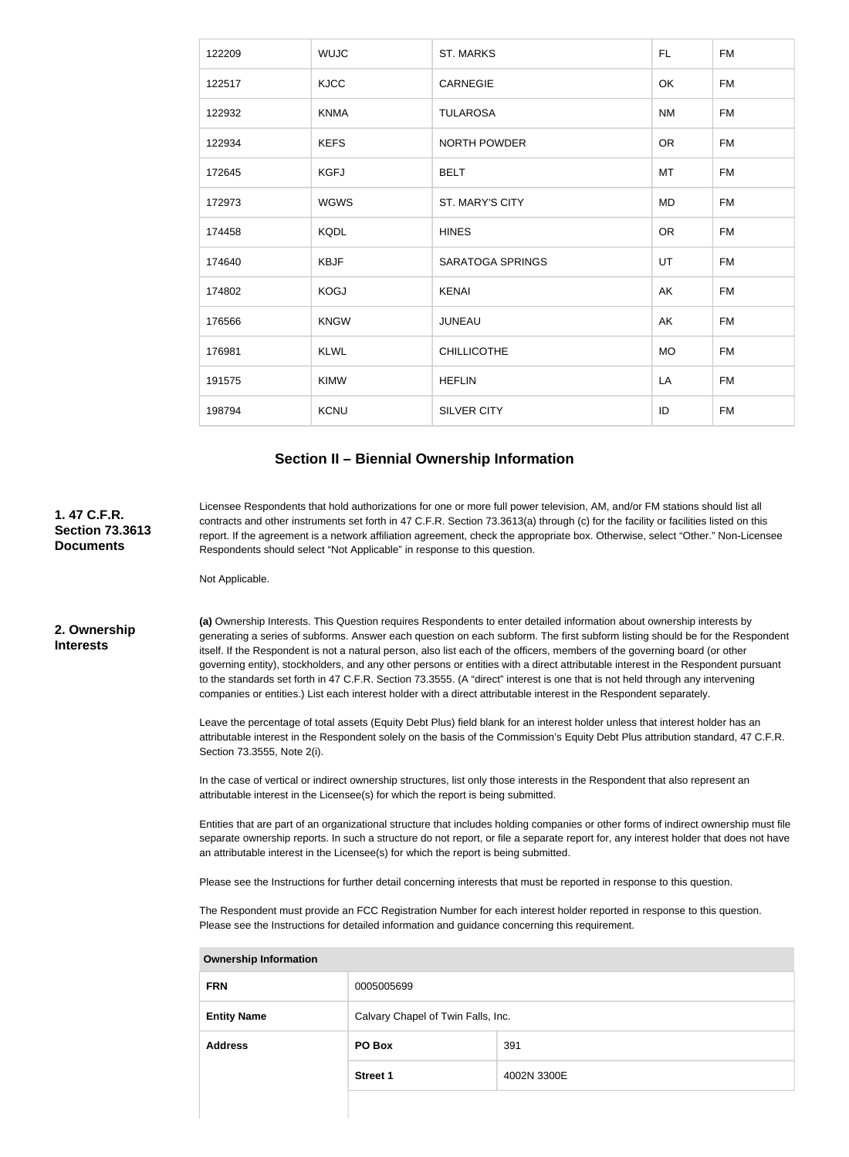| 122209 | <b>WUJC</b> | <b>ST. MARKS</b>        | FL.       | <b>FM</b> |
|--------|-------------|-------------------------|-----------|-----------|
| 122517 | <b>KJCC</b> | <b>CARNEGIE</b>         | OK        | <b>FM</b> |
| 122932 | <b>KNMA</b> | <b>TULAROSA</b>         | <b>NM</b> | <b>FM</b> |
| 122934 | <b>KEFS</b> | <b>NORTH POWDER</b>     | <b>OR</b> | <b>FM</b> |
| 172645 | <b>KGFJ</b> | <b>BELT</b>             | MT        | <b>FM</b> |
| 172973 | <b>WGWS</b> | ST. MARY'S CITY         | MD        | <b>FM</b> |
| 174458 | <b>KQDL</b> | <b>HINES</b>            | <b>OR</b> | <b>FM</b> |
| 174640 | <b>KBJF</b> | <b>SARATOGA SPRINGS</b> | UT        | <b>FM</b> |
| 174802 | <b>KOGJ</b> | <b>KENAI</b>            | AK        | <b>FM</b> |
| 176566 | <b>KNGW</b> | <b>JUNEAU</b>           | AK        | <b>FM</b> |
| 176981 | <b>KLWL</b> | <b>CHILLICOTHE</b>      | <b>MO</b> | <b>FM</b> |
| 191575 | <b>KIMW</b> | <b>HEFLIN</b>           | LA        | <b>FM</b> |
| 198794 | <b>KCNU</b> | <b>SILVER CITY</b>      | ID        | <b>FM</b> |

#### **Section II – Biennial Ownership Information**

**(a)** Ownership Interests. This Question requires Respondents to enter detailed information about ownership interests by generating a series of subforms. Answer each question on each subform. The first subform listing should be for the Respondent itself. If the Respondent is not a natural person, also list each of the officers, members of the governing board (or other governing entity), stockholders, and any other persons or entities with a direct attributable interest in the Respondent pursuant to the standards set forth in 47 C.F.R. Section 73.3555. (A "direct" interest is one that is not held through any intervening companies or entities.) List each interest holder with a direct attributable interest in the Respondent separately. Leave the percentage of total assets (Equity Debt Plus) field blank for an interest holder unless that interest holder has an attributable interest in the Respondent solely on the basis of the Commission's Equity Debt Plus attribution standard, 47 C.F.R. Section 73.3555, Note 2(i). In the case of vertical or indirect ownership structures, list only those interests in the Respondent that also represent an attributable interest in the Licensee(s) for which the report is being submitted. Entities that are part of an organizational structure that includes holding companies or other forms of indirect ownership must file separate ownership reports. In such a structure do not report, or file a separate report for, any interest holder that does not have an attributable interest in the Licensee(s) for which the report is being submitted. Please see the Instructions for further detail concerning interests that must be reported in response to this question. The Respondent must provide an FCC Registration Number for each interest holder reported in response to this question. Please see the Instructions for detailed information and guidance concerning this requirement. **Ownership Information FRN** 0005005699 **Entity Name** Calvary Chapel of Twin Falls, Inc. **Address PO Box** 391 **2. Ownership Interests** Licensee Respondents that hold authorizations for one or more full power television, AM, and/or FM stations should list all contracts and other instruments set forth in 47 C.F.R. Section 73.3613(a) through (c) for the facility or facilities listed on this report. If the agreement is a network affiliation agreement, check the appropriate box. Otherwise, select "Other." Non-Licensee Respondents should select "Not Applicable" in response to this question. Not Applicable. **1. 47 C.F.R. Section 73.3613 Documents**

**Street 1** 4002N 3300E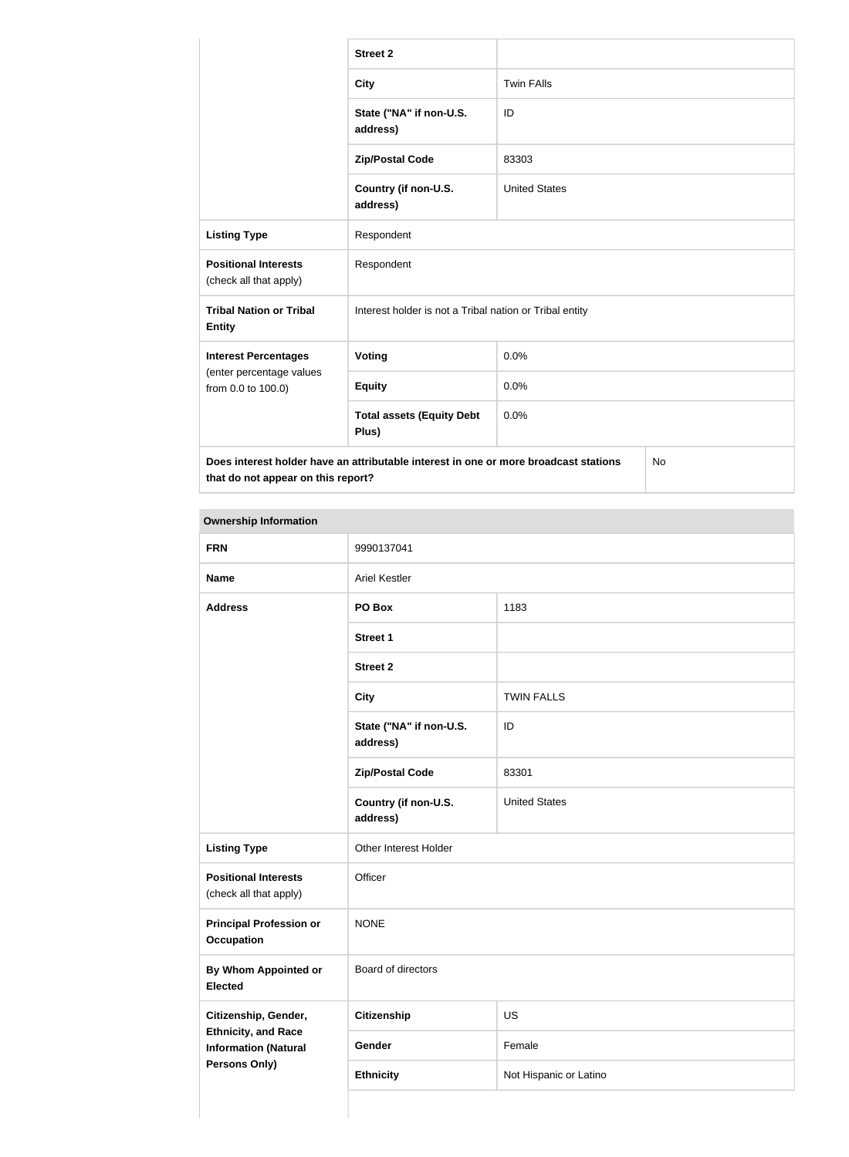|                                                       | <b>Street 2</b>                                                                            |                      |  |  |
|-------------------------------------------------------|--------------------------------------------------------------------------------------------|----------------------|--|--|
|                                                       | <b>City</b>                                                                                | <b>Twin FAlls</b>    |  |  |
|                                                       | State ("NA" if non-U.S.<br>address)                                                        | ID                   |  |  |
|                                                       | <b>Zip/Postal Code</b>                                                                     | 83303                |  |  |
|                                                       | Country (if non-U.S.<br>address)                                                           | <b>United States</b> |  |  |
| <b>Listing Type</b>                                   | Respondent                                                                                 |                      |  |  |
| <b>Positional Interests</b><br>(check all that apply) | Respondent                                                                                 |                      |  |  |
| <b>Tribal Nation or Tribal</b><br><b>Entity</b>       | Interest holder is not a Tribal nation or Tribal entity                                    |                      |  |  |
| <b>Interest Percentages</b>                           | Voting                                                                                     | 0.0%                 |  |  |
| (enter percentage values<br>from 0.0 to 100.0)        | <b>Equity</b>                                                                              | 0.0%                 |  |  |
|                                                       | <b>Total assets (Equity Debt</b><br>Plus)                                                  | 0.0%                 |  |  |
| that do not appear on this report?                    | Does interest holder have an attributable interest in one or more broadcast stations<br>No |                      |  |  |

# **Ownership Information**

| <b>FRN</b>                                                | 9990137041                          |                        |  |
|-----------------------------------------------------------|-------------------------------------|------------------------|--|
| <b>Name</b>                                               | <b>Ariel Kestler</b>                |                        |  |
| <b>Address</b>                                            | PO Box                              | 1183                   |  |
|                                                           | <b>Street 1</b>                     |                        |  |
|                                                           | <b>Street 2</b>                     |                        |  |
|                                                           | <b>City</b>                         | <b>TWIN FALLS</b>      |  |
|                                                           | State ("NA" if non-U.S.<br>address) | ID                     |  |
|                                                           | <b>Zip/Postal Code</b>              | 83301                  |  |
|                                                           | Country (if non-U.S.<br>address)    | <b>United States</b>   |  |
| <b>Listing Type</b>                                       | Other Interest Holder               |                        |  |
| <b>Positional Interests</b><br>(check all that apply)     | Officer                             |                        |  |
| <b>Principal Profession or</b><br><b>Occupation</b>       | <b>NONE</b>                         |                        |  |
| <b>By Whom Appointed or</b><br><b>Elected</b>             | Board of directors                  |                        |  |
| Citizenship, Gender,                                      | <b>Citizenship</b>                  | US                     |  |
| <b>Ethnicity, and Race</b><br><b>Information (Natural</b> | Gender                              | Female                 |  |
| <b>Persons Only)</b>                                      | <b>Ethnicity</b>                    | Not Hispanic or Latino |  |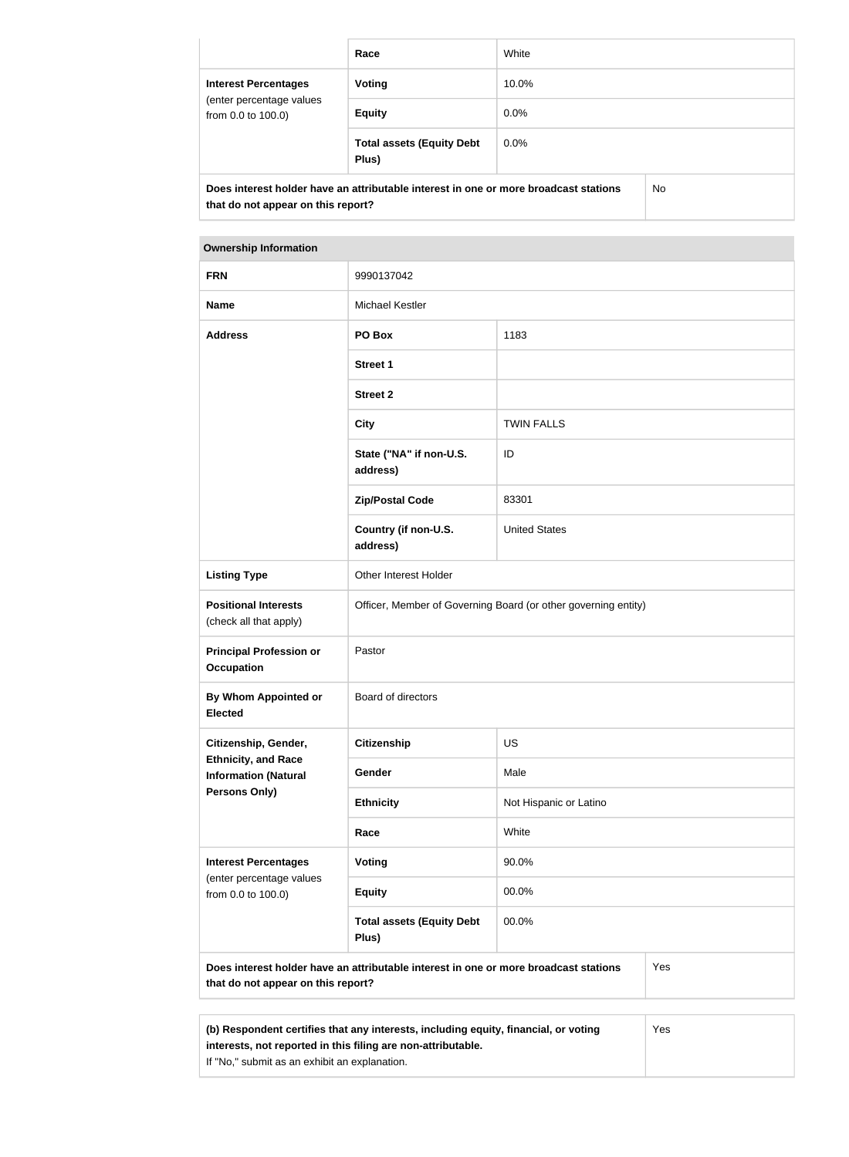|                                                                               | Race                                                                                                | White   |  |  |  |
|-------------------------------------------------------------------------------|-----------------------------------------------------------------------------------------------------|---------|--|--|--|
| <b>Interest Percentages</b><br>(enter percentage values<br>from 0.0 to 100.0) | <b>Voting</b>                                                                                       | 10.0%   |  |  |  |
|                                                                               | <b>Equity</b>                                                                                       | $0.0\%$ |  |  |  |
|                                                                               | <b>Total assets (Equity Debt</b><br>Plus)                                                           | 0.0%    |  |  |  |
|                                                                               | Deeg interest helder have an ettributeble interest in one ar mere breadeast stations<br>$N_{\rm A}$ |         |  |  |  |

**Does interest holder have an attributable interest in one or more broadcast stations that do not appear on this report?**

No

| <b>Ownership Information</b>                              |                                                                                      |                                                                |  |  |
|-----------------------------------------------------------|--------------------------------------------------------------------------------------|----------------------------------------------------------------|--|--|
| <b>FRN</b>                                                | 9990137042                                                                           |                                                                |  |  |
| <b>Name</b>                                               | <b>Michael Kestler</b>                                                               |                                                                |  |  |
| <b>Address</b>                                            | PO Box                                                                               | 1183                                                           |  |  |
|                                                           | <b>Street 1</b>                                                                      |                                                                |  |  |
|                                                           | <b>Street 2</b>                                                                      |                                                                |  |  |
|                                                           | <b>City</b>                                                                          | <b>TWIN FALLS</b>                                              |  |  |
|                                                           | State ("NA" if non-U.S.<br>address)                                                  | ID                                                             |  |  |
|                                                           | <b>Zip/Postal Code</b>                                                               | 83301                                                          |  |  |
|                                                           | Country (if non-U.S.<br>address)                                                     | <b>United States</b>                                           |  |  |
| <b>Listing Type</b>                                       | <b>Other Interest Holder</b>                                                         |                                                                |  |  |
| <b>Positional Interests</b><br>(check all that apply)     |                                                                                      | Officer, Member of Governing Board (or other governing entity) |  |  |
| <b>Principal Profession or</b><br><b>Occupation</b>       | Pastor                                                                               |                                                                |  |  |
| By Whom Appointed or<br><b>Elected</b>                    | Board of directors                                                                   |                                                                |  |  |
| Citizenship, Gender,                                      | <b>Citizenship</b>                                                                   | <b>US</b>                                                      |  |  |
| <b>Ethnicity, and Race</b><br><b>Information (Natural</b> | Gender                                                                               | Male                                                           |  |  |
| Persons Only)                                             | <b>Ethnicity</b>                                                                     | Not Hispanic or Latino                                         |  |  |
|                                                           | Race                                                                                 | White                                                          |  |  |
| <b>Interest Percentages</b>                               | Voting                                                                               | 90.0%                                                          |  |  |
| (enter percentage values<br>from 0.0 to 100.0)            | <b>Equity</b>                                                                        | 00.0%                                                          |  |  |
|                                                           | <b>Total assets (Equity Debt</b><br>Plus)                                            | 00.0%                                                          |  |  |
|                                                           | Does interest holder have an attributable interest in one or more broadcast stations | Yes                                                            |  |  |

| (b) Respondent certifies that any interests, including equity, financial, or voting | Yes |
|-------------------------------------------------------------------------------------|-----|
| interests, not reported in this filing are non-attributable.                        |     |
| If "No," submit as an exhibit an explanation.                                       |     |